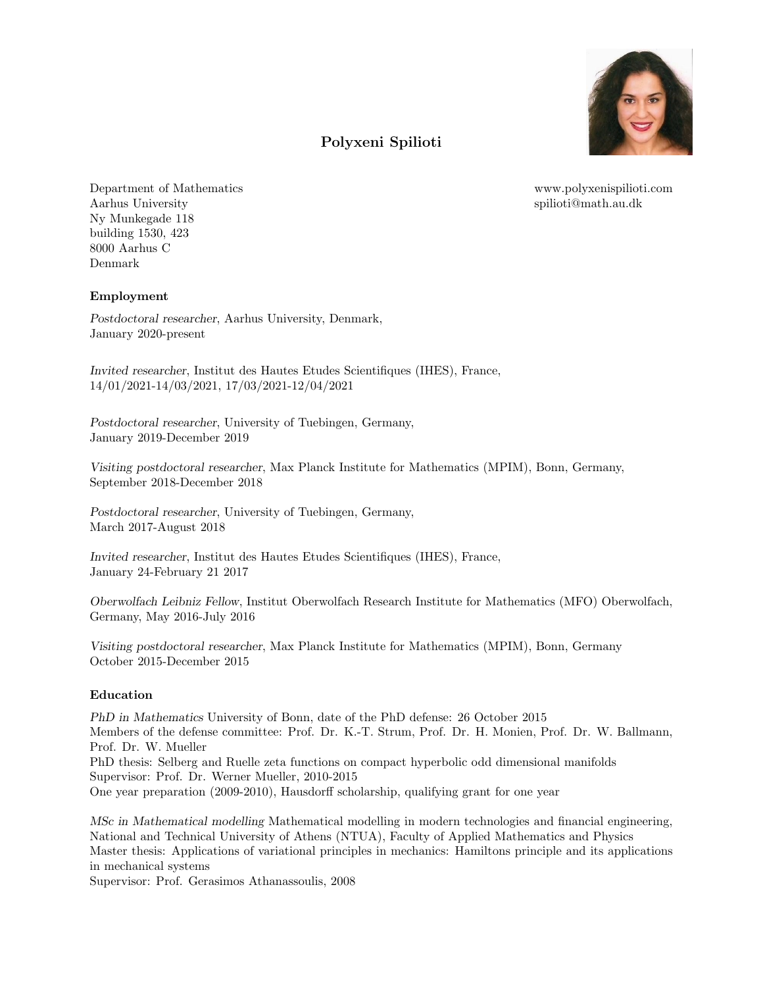

www.polyxenispilioti.com spilioti@math.au.dk

# Polyxeni Spilioti

Department of Mathematics Aarhus University Ny Munkegade 118 building 1530, 423 8000 Aarhus C Denmark

# Employment

Postdoctoral researcher, Aarhus University, Denmark, January 2020-present

Invited researcher, Institut des Hautes Etudes Scientifiques (IHES), France, 14/01/2021-14/03/2021, 17/03/2021-12/04/2021

Postdoctoral researcher, University of Tuebingen, Germany, January 2019-December 2019

Visiting postdoctoral researcher, Max Planck Institute for Mathematics (MPIM), Bonn, Germany, September 2018-December 2018

Postdoctoral researcher, University of Tuebingen, Germany, March 2017-August 2018

Invited researcher, Institut des Hautes Etudes Scientifiques (IHES), France, January 24-February 21 2017

Oberwolfach Leibniz Fellow, Institut Oberwolfach Research Institute for Mathematics (MFO) Oberwolfach, Germany, May 2016-July 2016

Visiting postdoctoral researcher, Max Planck Institute for Mathematics (MPIM), Bonn, Germany October 2015-December 2015

# Education

PhD in Mathematics University of Bonn, date of the PhD defense: 26 October 2015 Members of the defense committee: Prof. Dr. K.-T. Strum, Prof. Dr. H. Monien, Prof. Dr. W. Ballmann, Prof. Dr. W. Mueller PhD thesis: Selberg and Ruelle zeta functions on compact hyperbolic odd dimensional manifolds Supervisor: Prof. Dr. Werner Mueller, 2010-2015 One year preparation (2009-2010), Hausdorff scholarship, qualifying grant for one year

MSc in Mathematical modelling Mathematical modelling in modern technologies and financial engineering, National and Technical University of Athens (NTUA), Faculty of Applied Mathematics and Physics Master thesis: Applications of variational principles in mechanics: Hamiltons principle and its applications in mechanical systems

Supervisor: Prof. Gerasimos Athanassoulis, 2008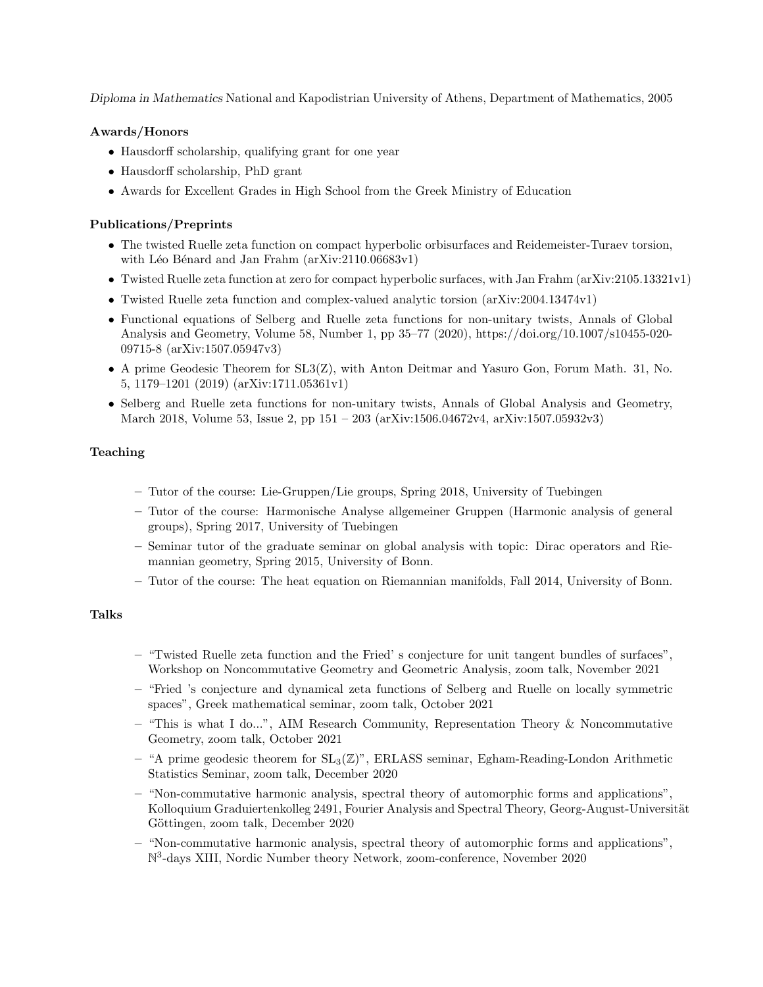Diploma in Mathematics National and Kapodistrian University of Athens, Department of Mathematics, 2005

# Awards/Honors

- Hausdorff scholarship, qualifying grant for one year
- Hausdorff scholarship, PhD grant
- Awards for Excellent Grades in High School from the Greek Ministry of Education

### Publications/Preprints

- The twisted Ruelle zeta function on compact hyperbolic orbisurfaces and Reidemeister-Turaev torsion, with Léo Bénard and Jan Frahm (arXiv:2110.06683v1)
- Twisted Ruelle zeta function at zero for compact hyperbolic surfaces, with Jan Frahm (arXiv:2105.13321v1)
- Twisted Ruelle zeta function and complex-valued analytic torsion (arXiv:2004.13474v1)
- Functional equations of Selberg and Ruelle zeta functions for non-unitary twists, Annals of Global Analysis and Geometry, Volume 58, Number 1, pp 35–77 (2020), https://doi.org/10.1007/s10455-020- 09715-8 (arXiv:1507.05947v3)
- A prime Geodesic Theorem for SL3(Z), with Anton Deitmar and Yasuro Gon, Forum Math. 31, No. 5, 1179–1201 (2019) (arXiv:1711.05361v1)
- Selberg and Ruelle zeta functions for non-unitary twists, Annals of Global Analysis and Geometry, March 2018, Volume 53, Issue 2, pp 151 – 203 (arXiv:1506.04672v4, arXiv:1507.05932v3)

### Teaching

- Tutor of the course: Lie-Gruppen/Lie groups, Spring 2018, University of Tuebingen
- Tutor of the course: Harmonische Analyse allgemeiner Gruppen (Harmonic analysis of general groups), Spring 2017, University of Tuebingen
- Seminar tutor of the graduate seminar on global analysis with topic: Dirac operators and Riemannian geometry, Spring 2015, University of Bonn.
- Tutor of the course: The heat equation on Riemannian manifolds, Fall 2014, University of Bonn.

#### Talks

- "Twisted Ruelle zeta function and the Fried' s conjecture for unit tangent bundles of surfaces", Workshop on Noncommutative Geometry and Geometric Analysis, zoom talk, November 2021
- "Fried 's conjecture and dynamical zeta functions of Selberg and Ruelle on locally symmetric spaces", Greek mathematical seminar, zoom talk, October 2021
- "This is what I do...", AIM Research Community, Representation Theory & Noncommutative Geometry, zoom talk, October 2021
- "A prime geodesic theorem for  $SL_3(\mathbb{Z})$ ", ERLASS seminar, Egham-Reading-London Arithmetic Statistics Seminar, zoom talk, December 2020
- "Non-commutative harmonic analysis, spectral theory of automorphic forms and applications", Kolloquium Graduiertenkolleg 2491, Fourier Analysis and Spectral Theory, Georg-August-Universität Göttingen, zoom talk, December 2020
- "Non-commutative harmonic analysis, spectral theory of automorphic forms and applications", N 3 -days XIII, Nordic Number theory Network, zoom-conference, November 2020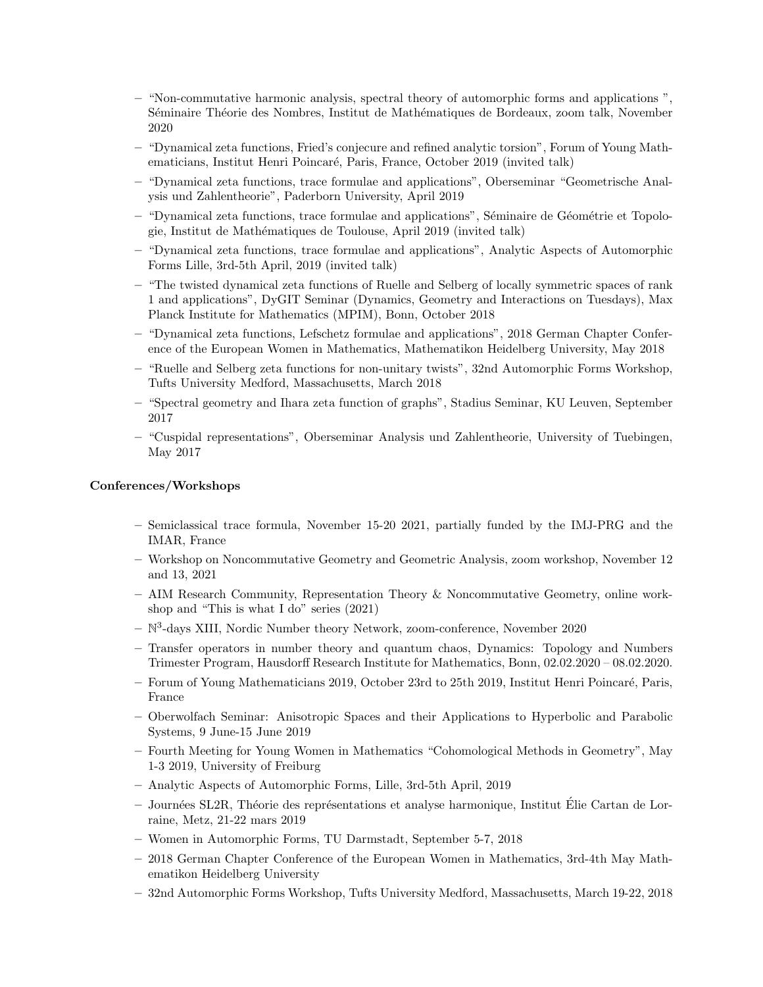- "Non-commutative harmonic analysis, spectral theory of automorphic forms and applications ", Séminaire Théorie des Nombres, Institut de Mathématiques de Bordeaux, zoom talk, November 2020
- "Dynamical zeta functions, Fried's conjecure and refined analytic torsion", Forum of Young Mathematicians, Institut Henri Poincaré, Paris, France, October 2019 (invited talk)
- "Dynamical zeta functions, trace formulae and applications", Oberseminar "Geometrische Analysis und Zahlentheorie", Paderborn University, April 2019
- "Dynamical zeta functions, trace formulae and applications", Séminaire de Géométrie et Topologie, Institut de Mathématiques de Toulouse, April 2019 (invited talk)
- "Dynamical zeta functions, trace formulae and applications", Analytic Aspects of Automorphic Forms Lille, 3rd-5th April, 2019 (invited talk)
- "The twisted dynamical zeta functions of Ruelle and Selberg of locally symmetric spaces of rank 1 and applications", DyGIT Seminar (Dynamics, Geometry and Interactions on Tuesdays), Max Planck Institute for Mathematics (MPIM), Bonn, October 2018
- "Dynamical zeta functions, Lefschetz formulae and applications", 2018 German Chapter Conference of the European Women in Mathematics, Mathematikon Heidelberg University, May 2018
- "Ruelle and Selberg zeta functions for non-unitary twists", 32nd Automorphic Forms Workshop, Tufts University Medford, Massachusetts, March 2018
- "Spectral geometry and Ihara zeta function of graphs", Stadius Seminar, KU Leuven, September 2017
- "Cuspidal representations", Oberseminar Analysis und Zahlentheorie, University of Tuebingen, May 2017

#### Conferences/Workshops

- Semiclassical trace formula, November 15-20 2021, partially funded by the IMJ-PRG and the IMAR, France
- Workshop on Noncommutative Geometry and Geometric Analysis, zoom workshop, November 12 and 13, 2021
- AIM Research Community, Representation Theory & Noncommutative Geometry, online workshop and "This is what I do" series (2021)
- $-$  N<sup>3</sup>-days XIII, Nordic Number theory Network, zoom-conference, November 2020
- Transfer operators in number theory and quantum chaos, Dynamics: Topology and Numbers Trimester Program, Hausdorff Research Institute for Mathematics, Bonn, 02.02.2020 – 08.02.2020.
- $-$  Forum of Young Mathematicians 2019, October 23rd to 25th 2019, Institut Henri Poincaré, Paris, France
- Oberwolfach Seminar: Anisotropic Spaces and their Applications to Hyperbolic and Parabolic Systems, 9 June-15 June 2019
- Fourth Meeting for Young Women in Mathematics "Cohomological Methods in Geometry", May 1-3 2019, University of Freiburg
- Analytic Aspects of Automorphic Forms, Lille, 3rd-5th April, 2019
- Journ´ees SL2R, Th´eorie des repr´esentations et analyse harmonique, Institut Elie Cartan de Lor- ´ raine, Metz, 21-22 mars 2019
- Women in Automorphic Forms, TU Darmstadt, September 5-7, 2018
- 2018 German Chapter Conference of the European Women in Mathematics, 3rd-4th May Mathematikon Heidelberg University
- 32nd Automorphic Forms Workshop, Tufts University Medford, Massachusetts, March 19-22, 2018